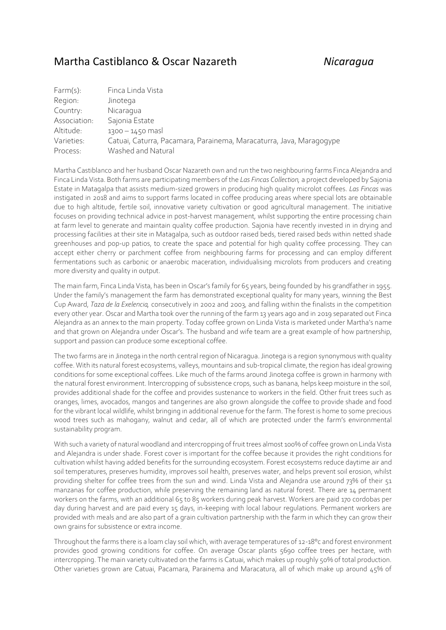## Martha Castiblanco & Oscar Nazareth *Nicaragua*

| $Farm(s)$ :  | Finca Linda Vista                                                   |
|--------------|---------------------------------------------------------------------|
| Region:      | Jinotega                                                            |
| Country:     | Nicaragua                                                           |
| Association: | Sajonia Estate                                                      |
| Altitude:    | $1300 - 1450$ mas                                                   |
| Varieties:   | Catuai, Caturra, Pacamara, Parainema, Maracaturra, Java, Maragogype |
| Process:     | Washed and Natural                                                  |

Martha Castiblanco and her husband Oscar Nazareth own and run the two neighbouring farms Finca Alejandra and Finca Linda Vista. Both farms are participating members of the *Las Fincas Collection,* a project developed by Sajonia Estate in Matagalpa that assists medium-sized growers in producing high quality microlot coffees. *Las Fincas* was instigated in 2018 and aims to support farms located in coffee producing areas where special lots are obtainable due to high altitude, fertile soil, innovative variety cultivation or good agricultural management. The initiative focuses on providing technical advice in post-harvest management, whilst supporting the entire processing chain at farm level to generate and maintain quality coffee production. Sajonia have recently invested in in drying and processing facilities at their site in Matagalpa, such as outdoor raised beds, tiered raised beds within netted shade greenhouses and pop-up patios, to create the space and potential for high quality coffee processing. They can accept either cherry or parchment coffee from neighbouring farms for processing and can employ different fermentations such as carbonic or anaerobic maceration, individualising microlots from producers and creating more diversity and quality in output.

The main farm, Finca Linda Vista, has been in Oscar's family for 65 years, being founded by his grandfather in 1955. Under the family's management the farm has demonstrated exceptional quality for many years, winning the Best Cup Award, *Taza de la Exelencia,* consecutively in 2002 and 2003, and falling within the finalists in the competition every other year. Oscar and Martha took over the running of the farm 13 years ago and in 2019 separated out Finca Alejandra as an annex to the main property. Today coffee grown on Linda Vista is marketed under Martha's name and that grown on Alejandra under Oscar's. The husband and wife team are a great example of how partnership, support and passion can produce some exceptional coffee.

The two farms are in Jinotega in the north central region of Nicaragua. Jinotega is a region synonymous with quality coffee. With its natural forest ecosystems, valleys, mountains and sub-tropical climate, the region has ideal growing conditions for some exceptional coffees. Like much of the farms around Jinotega coffee is grown in harmony with the natural forest environment. Intercropping of subsistence crops, such as banana, helps keep moisture in the soil, provides additional shade for the coffee and provides sustenance to workers in the field. Other fruit trees such as oranges, limes, avocados, mangos and tangerines are also grown alongside the coffee to provide shade and food for the vibrant local wildlife, whilst bringing in additional revenue for the farm. The forest is home to some precious wood trees such as mahogany, walnut and cedar, all of which are protected under the farm's environmental sustainability program.

With such a variety of natural woodland and intercropping of fruit trees almost 100% of coffee grown on Linda Vista and Alejandra is under shade. Forest cover is important for the coffee because it provides the right conditions for cultivation whilst having added benefits for the surrounding ecosystem. Forest ecosystems reduce daytime air and soil temperatures, preserves humidity, improves soil health, preserves water, and helps prevent soil erosion, whilst providing shelter for coffee trees from the sun and wind. Linda Vista and Alejandra use around 73% of their 51 manzanas for coffee production, while preserving the remaining land as natural forest. There are 14 permanent workers on the farms, with an additional 65 to 85 workers during peak harvest. Workers are paid 170 cordobas per day during harvest and are paid every 15 days, in-keeping with local labour regulations. Permanent workers are provided with meals and are also part of a grain cultivation partnership with the farm in which they can grow their own grains for subsistence or extra income.

Throughout the farms there is a loam clay soil which, with average temperatures of 12-18°c and forest environment provides good growing conditions for coffee. On average Oscar plants 5690 coffee trees per hectare, with intercropping. The main variety cultivated on the farms is Catuai, which makes up roughly 50% of total production. Other varieties grown are Catuai, Pacamara, Parainema and Maracatura, all of which make up around 45% of